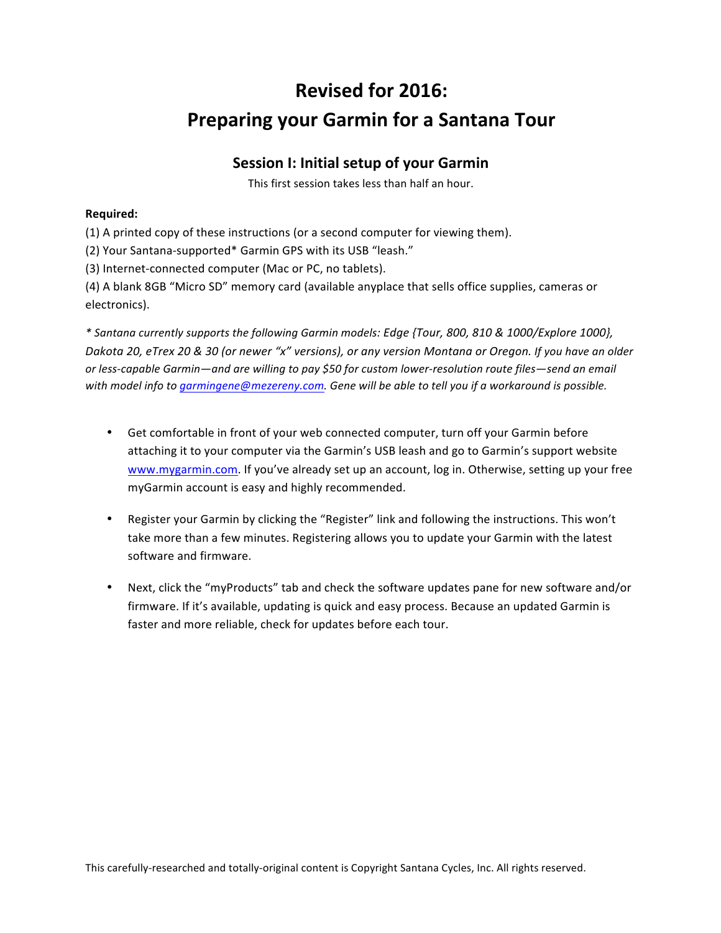## **Revised for 2016: Preparing your Garmin for a Santana Tour**

### **Session I: Initial setup of your Garmin**

This first session takes less than half an hour.

#### **Required:**

(1) A printed copy of these instructions (or a second computer for viewing them).

(2) Your Santana-supported\* Garmin GPS with its USB "leash."

(3) Internet-connected computer (Mac or PC, no tablets).

(4) A blank 8GB "Micro SD" memory card (available anyplace that sells office supplies, cameras or electronics). 

*\* Santana currently supports the following Garmin models: Edge {Tour, 800, 810 & 1000/Explore 1000}, Dakota* 20, eTrex 20 & 30 (or newer "x" versions), or any version Montana or Oregon. If you have an older or less-capable Garmin—and are willing to pay \$50 for custom lower-resolution route files—send an email with model info to garmingene@mezereny.com. Gene will be able to tell you if a workaround is possible.

- Get comfortable in front of your web connected computer, turn off your Garmin before attaching it to your computer via the Garmin's USB leash and go to Garmin's support website [www.mygarmin.com](http://www.mygarmin.com). If you've already set up an account, log in. Otherwise, setting up your free myGarmin account is easy and highly recommended.
- Register your Garmin by clicking the "Register" link and following the instructions. This won't take more than a few minutes. Registering allows you to update your Garmin with the latest software and firmware.
- Next, click the "myProducts" tab and check the software updates pane for new software and/or firmware. If it's available, updating is quick and easy process. Because an updated Garmin is faster and more reliable, check for updates before each tour.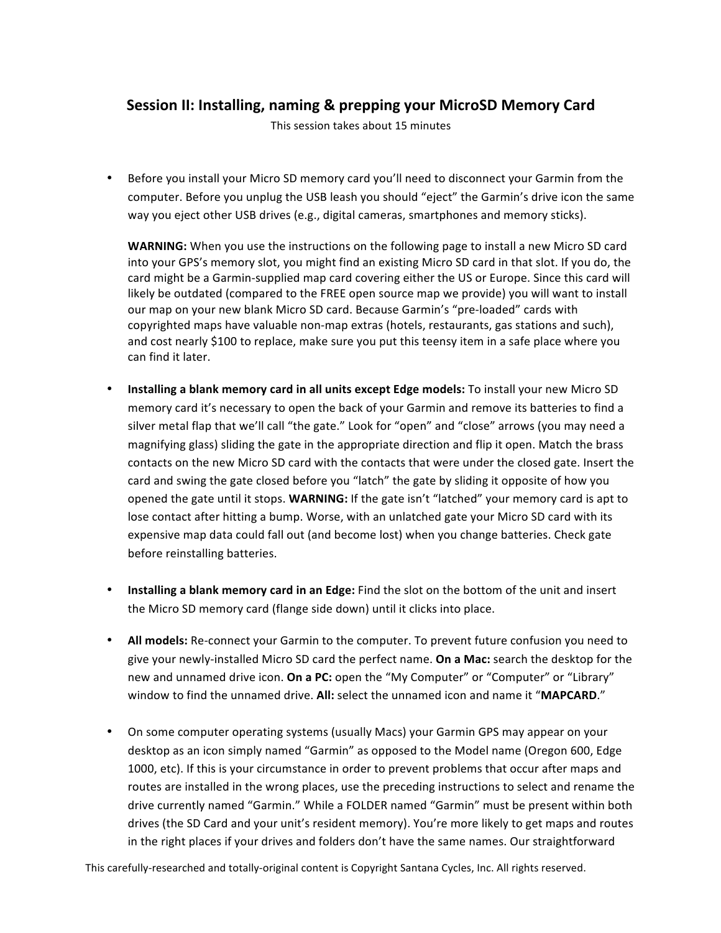### **Session II: Installing, naming & prepping your MicroSD Memory Card**

This session takes about 15 minutes

• Before you install your Micro SD memory card you'll need to disconnect your Garmin from the computer. Before you unplug the USB leash you should "eject" the Garmin's drive icon the same way you eject other USB drives (e.g., digital cameras, smartphones and memory sticks).

**WARNING:** When you use the instructions on the following page to install a new Micro SD card into your GPS's memory slot, you might find an existing Micro SD card in that slot. If you do, the card might be a Garmin-supplied map card covering either the US or Europe. Since this card will likely be outdated (compared to the FREE open source map we provide) you will want to install our map on your new blank Micro SD card. Because Garmin's "pre-loaded" cards with copyrighted maps have valuable non-map extras (hotels, restaurants, gas stations and such), and cost nearly \$100 to replace, make sure you put this teensy item in a safe place where you can find it later.

- **Installing a blank memory card in all units except Edge models:** To install your new Micro SD memory card it's necessary to open the back of your Garmin and remove its batteries to find a silver metal flap that we'll call "the gate." Look for "open" and "close" arrows (you may need a magnifying glass) sliding the gate in the appropriate direction and flip it open. Match the brass contacts on the new Micro SD card with the contacts that were under the closed gate. Insert the card and swing the gate closed before you "latch" the gate by sliding it opposite of how you opened the gate until it stops. WARNING: If the gate isn't "latched" your memory card is apt to lose contact after hitting a bump. Worse, with an unlatched gate your Micro SD card with its expensive map data could fall out (and become lost) when you change batteries. Check gate before reinstalling batteries.
- Installing a blank memory card in an Edge: Find the slot on the bottom of the unit and insert the Micro SD memory card (flange side down) until it clicks into place.
- All models: Re-connect your Garmin to the computer. To prevent future confusion you need to give your newly-installed Micro SD card the perfect name. **On a Mac:** search the desktop for the new and unnamed drive icon. On a PC: open the "My Computer" or "Computer" or "Library" window to find the unnamed drive. **All:** select the unnamed icon and name it "**MAPCARD**."
- On some computer operating systems (usually Macs) your Garmin GPS may appear on your desktop as an icon simply named "Garmin" as opposed to the Model name (Oregon 600, Edge 1000, etc). If this is your circumstance in order to prevent problems that occur after maps and routes are installed in the wrong places, use the preceding instructions to select and rename the drive currently named "Garmin." While a FOLDER named "Garmin" must be present within both drives (the SD Card and your unit's resident memory). You're more likely to get maps and routes in the right places if your drives and folders don't have the same names. Our straightforward

This carefully-researched and totally-original content is Copyright Santana Cycles, Inc. All rights reserved.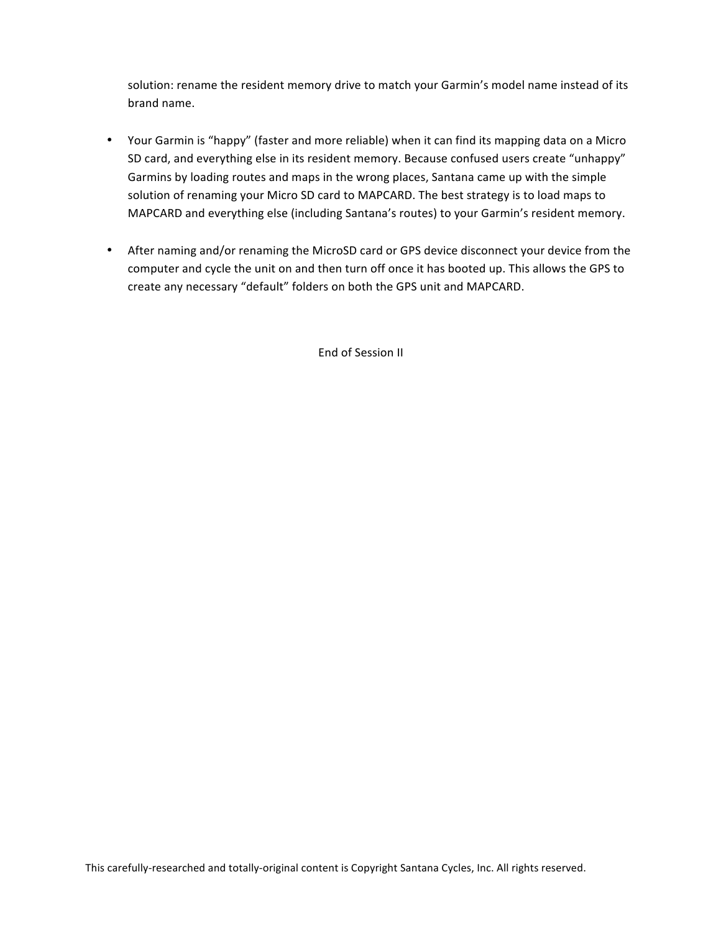solution: rename the resident memory drive to match your Garmin's model name instead of its brand name.

- Your Garmin is "happy" (faster and more reliable) when it can find its mapping data on a Micro SD card, and everything else in its resident memory. Because confused users create "unhappy" Garmins by loading routes and maps in the wrong places, Santana came up with the simple solution of renaming your Micro SD card to MAPCARD. The best strategy is to load maps to MAPCARD and everything else (including Santana's routes) to your Garmin's resident memory.
- After naming and/or renaming the MicroSD card or GPS device disconnect your device from the computer and cycle the unit on and then turn off once it has booted up. This allows the GPS to create any necessary "default" folders on both the GPS unit and MAPCARD.

End of Session II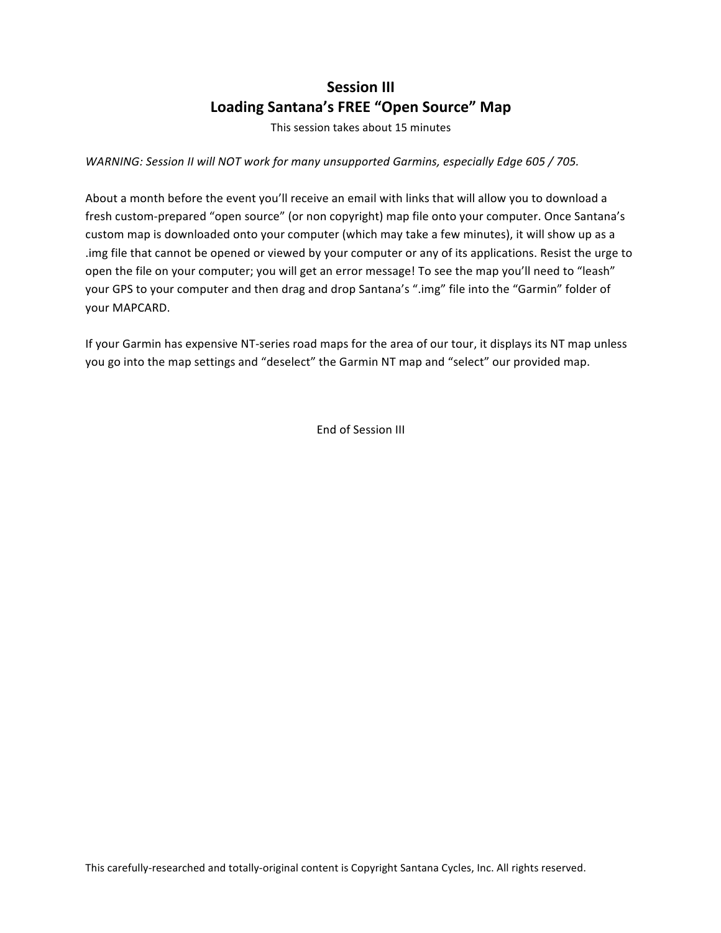## **Session III** Loading Santana's FREE "Open Source" Map

This session takes about 15 minutes

*WARNING: Session II will NOT work for many unsupported Garmins, especially Edge 605 / 705.* 

About a month before the event you'll receive an email with links that will allow you to download a fresh custom-prepared "open source" (or non copyright) map file onto your computer. Once Santana's custom map is downloaded onto your computer (which may take a few minutes), it will show up as a .img file that cannot be opened or viewed by your computer or any of its applications. Resist the urge to open the file on your computer; you will get an error message! To see the map you'll need to "leash" your GPS to your computer and then drag and drop Santana's ".img" file into the "Garmin" folder of your MAPCARD.

If your Garmin has expensive NT-series road maps for the area of our tour, it displays its NT map unless you go into the map settings and "deselect" the Garmin NT map and "select" our provided map.

End of Session III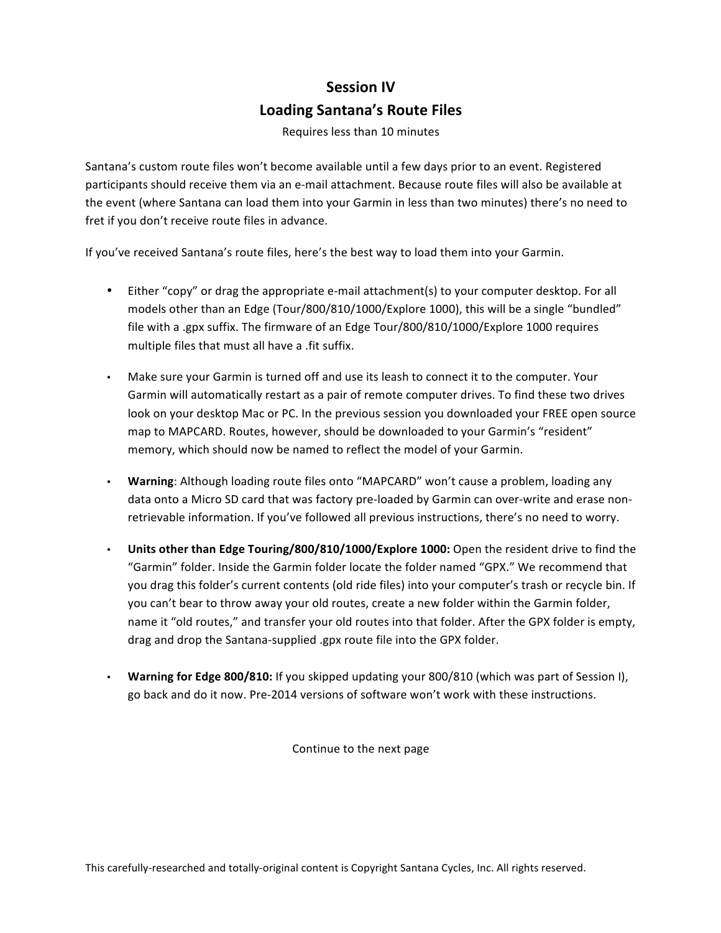## **Session IV Loading Santana's Route Files**

Requires less than 10 minutes

Santana's custom route files won't become available until a few days prior to an event. Registered participants should receive them via an e-mail attachment. Because route files will also be available at the event (where Santana can load them into your Garmin in less than two minutes) there's no need to fret if you don't receive route files in advance.

If you've received Santana's route files, here's the best way to load them into your Garmin.

- Either "copy" or drag the appropriate e-mail attachment(s) to your computer desktop. For all models other than an Edge (Tour/800/810/1000/Explore 1000), this will be a single "bundled" file with a .gpx suffix. The firmware of an Edge Tour/800/810/1000/Explore 1000 requires multiple files that must all have a .fit suffix.
- Make sure your Garmin is turned off and use its leash to connect it to the computer. Your Garmin will automatically restart as a pair of remote computer drives. To find these two drives look on your desktop Mac or PC. In the previous session you downloaded your FREE open source map to MAPCARD. Routes, however, should be downloaded to your Garmin's "resident" memory, which should now be named to reflect the model of your Garmin.
- **Warning**: Although loading route files onto "MAPCARD" won't cause a problem, loading any data onto a Micro SD card that was factory pre-loaded by Garmin can over-write and erase nonretrievable information. If you've followed all previous instructions, there's no need to worry.
- Units other than Edge Touring/800/810/1000/Explore 1000: Open the resident drive to find the "Garmin" folder. Inside the Garmin folder locate the folder named "GPX." We recommend that you drag this folder's current contents (old ride files) into your computer's trash or recycle bin. If you can't bear to throw away your old routes, create a new folder within the Garmin folder, name it "old routes," and transfer your old routes into that folder. After the GPX folder is empty, drag and drop the Santana-supplied .gpx route file into the GPX folder.
- Warning for Edge 800/810: If you skipped updating your 800/810 (which was part of Session I), go back and do it now. Pre-2014 versions of software won't work with these instructions.

Continue to the next page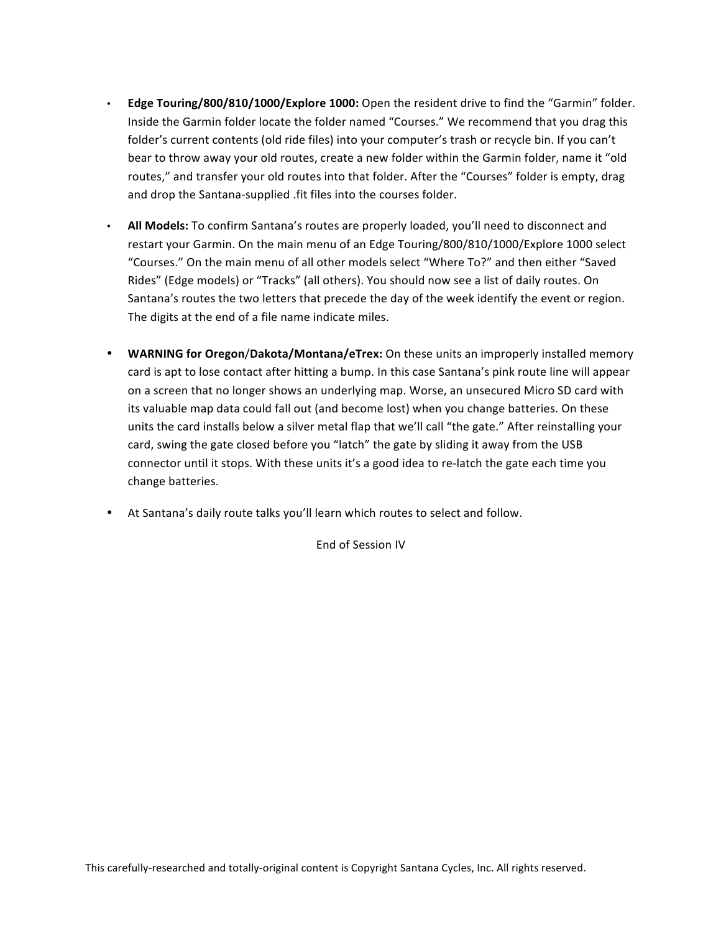- Edge Touring/800/810/1000/Explore 1000: Open the resident drive to find the "Garmin" folder. Inside the Garmin folder locate the folder named "Courses." We recommend that you drag this folder's current contents (old ride files) into your computer's trash or recycle bin. If you can't bear to throw away your old routes, create a new folder within the Garmin folder, name it "old routes," and transfer your old routes into that folder. After the "Courses" folder is empty, drag and drop the Santana-supplied .fit files into the courses folder.
- All Models: To confirm Santana's routes are properly loaded, you'll need to disconnect and restart your Garmin. On the main menu of an Edge Touring/800/810/1000/Explore 1000 select "Courses." On the main menu of all other models select "Where To?" and then either "Saved Rides" (Edge models) or "Tracks" (all others). You should now see a list of daily routes. On Santana's routes the two letters that precede the day of the week identify the event or region. The digits at the end of a file name indicate miles.
- WARNING for Oregon/Dakota/Montana/eTrex: On these units an improperly installed memory card is apt to lose contact after hitting a bump. In this case Santana's pink route line will appear on a screen that no longer shows an underlying map. Worse, an unsecured Micro SD card with its valuable map data could fall out (and become lost) when you change batteries. On these units the card installs below a silver metal flap that we'll call "the gate." After reinstalling your card, swing the gate closed before you "latch" the gate by sliding it away from the USB connector until it stops. With these units it's a good idea to re-latch the gate each time you change batteries.
- At Santana's daily route talks you'll learn which routes to select and follow.

End of Session IV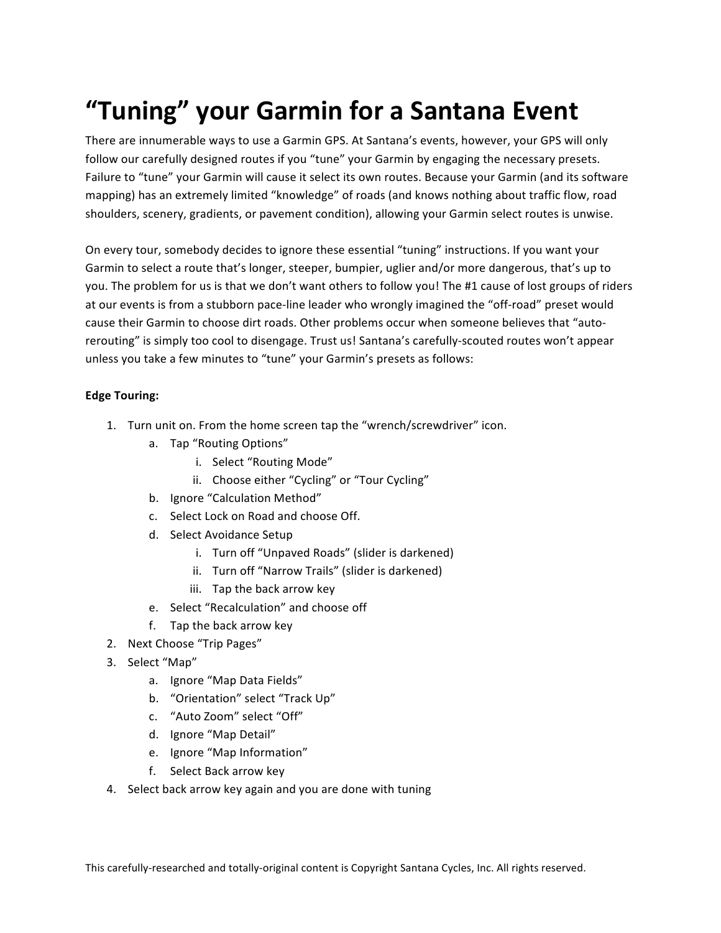# **"Tuning" your Garmin for a Santana Event**

There are innumerable ways to use a Garmin GPS. At Santana's events, however, your GPS will only follow our carefully designed routes if you "tune" your Garmin by engaging the necessary presets. Failure to "tune" your Garmin will cause it select its own routes. Because your Garmin (and its software mapping) has an extremely limited "knowledge" of roads (and knows nothing about traffic flow, road shoulders, scenery, gradients, or pavement condition), allowing your Garmin select routes is unwise.

On every tour, somebody decides to ignore these essential "tuning" instructions. If you want your Garmin to select a route that's longer, steeper, bumpier, uglier and/or more dangerous, that's up to you. The problem for us is that we don't want others to follow you! The #1 cause of lost groups of riders at our events is from a stubborn pace-line leader who wrongly imagined the "off-road" preset would cause their Garmin to choose dirt roads. Other problems occur when someone believes that "autorerouting" is simply too cool to disengage. Trust us! Santana's carefully-scouted routes won't appear unless you take a few minutes to "tune" your Garmin's presets as follows:

#### **Edge Touring:**

- 1. Turn unit on. From the home screen tap the "wrench/screwdriver" icon.
	- a. Tap "Routing Options"
		- i. Select "Routing Mode"
		- ii. Choose either "Cycling" or "Tour Cycling"
	- b. Ignore "Calculation Method"
	- c. Select Lock on Road and choose Off.
	- d. Select Avoidance Setup
		- i. Turn off "Unpaved Roads" (slider is darkened)
		- ii. Turn off "Narrow Trails" (slider is darkened)
		- iii. Tap the back arrow key
	- e. Select "Recalculation" and choose off
	- f. Tap the back arrow key
- 2. Next Choose "Trip Pages"
- 3. Select "Map"
	- a. Ignore "Map Data Fields"
	- b. "Orientation" select "Track Up"
	- c. "Auto Zoom" select "Off"
	- d. Ignore "Map Detail"
	- e. Ignore "Map Information"
	- f. Select Back arrow key
- 4. Select back arrow key again and you are done with tuning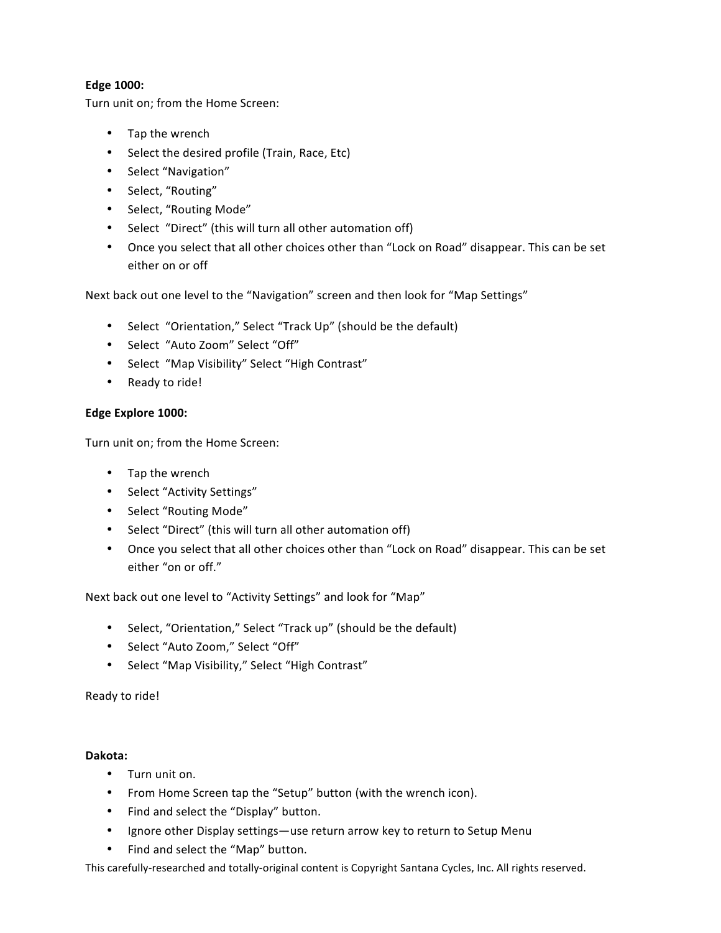#### **Edge 1000:**

Turn unit on; from the Home Screen:

- Tap the wrench
- Select the desired profile (Train, Race, Etc)
- Select "Navigation"
- Select, "Routing"
- Select, "Routing Mode"
- Select "Direct" (this will turn all other automation off)
- Once you select that all other choices other than "Lock on Road" disappear. This can be set either on or off

Next back out one level to the "Navigation" screen and then look for "Map Settings"

- Select "Orientation," Select "Track Up" (should be the default)
- Select "Auto Zoom" Select "Off"
- Select "Map Visibility" Select "High Contrast"
- Ready to ride!

#### **Edge Explore 1000:**

Turn unit on; from the Home Screen:

- Tap the wrench
- Select "Activity Settings"
- Select "Routing Mode"
- Select "Direct" (this will turn all other automation off)
- Once you select that all other choices other than "Lock on Road" disappear. This can be set either "on or off."

Next back out one level to "Activity Settings" and look for "Map"

- Select, "Orientation," Select "Track up" (should be the default)
- Select "Auto Zoom," Select "Off"
- Select "Map Visibility," Select "High Contrast"

Ready to ride!

#### **Dakota:**

- Turn unit on.
- From Home Screen tap the "Setup" button (with the wrench icon).
- Find and select the "Display" button.
- Ignore other Display settings—use return arrow key to return to Setup Menu
- Find and select the "Map" button.

This carefully-researched and totally-original content is Copyright Santana Cycles, Inc. All rights reserved.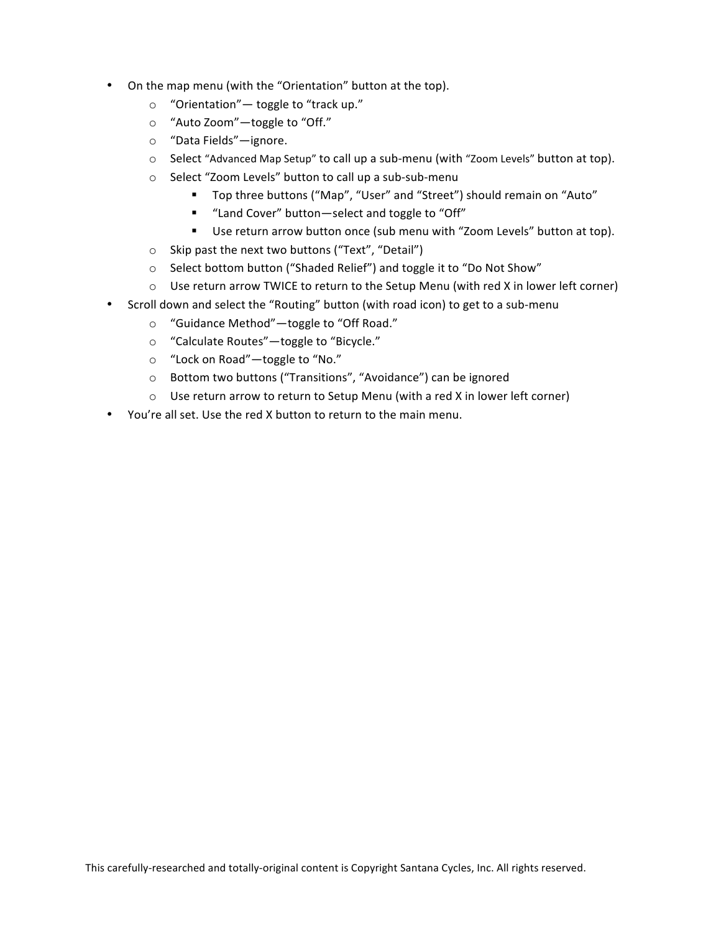- On the map menu (with the "Orientation" button at the top).
	- $\circ$  "Orientation" toggle to "track up."
	- o "Auto Zoom"-toggle to "Off."
	- o "Data Fields"—ignore.
	- o Select "Advanced Map Setup" to call up a sub-menu (with "Zoom Levels" button at top).
	- o Select "Zoom Levels" button to call up a sub-sub-menu
		- " Top three buttons ("Map", "User" and "Street") should remain on "Auto"
		- "Land Cover" button-select and toggle to "Off"
		- " Use return arrow button once (sub menu with "Zoom Levels" button at top).
	- $\circ$  Skip past the next two buttons ("Text", "Detail")
	- o Select bottom button ("Shaded Relief") and toggle it to "Do Not Show"
	- $\circ$  Use return arrow TWICE to return to the Setup Menu (with red X in lower left corner)
- Scroll down and select the "Routing" button (with road icon) to get to a sub-menu
	- o "Guidance Method"-toggle to "Off Road."
	- o "Calculate Routes"-toggle to "Bicycle."
	- o "Lock on Road"-toggle to "No."
	- o Bottom two buttons ("Transitions", "Avoidance") can be ignored
	- $\circ$  Use return arrow to return to Setup Menu (with a red X in lower left corner)
- You're all set. Use the red X button to return to the main menu.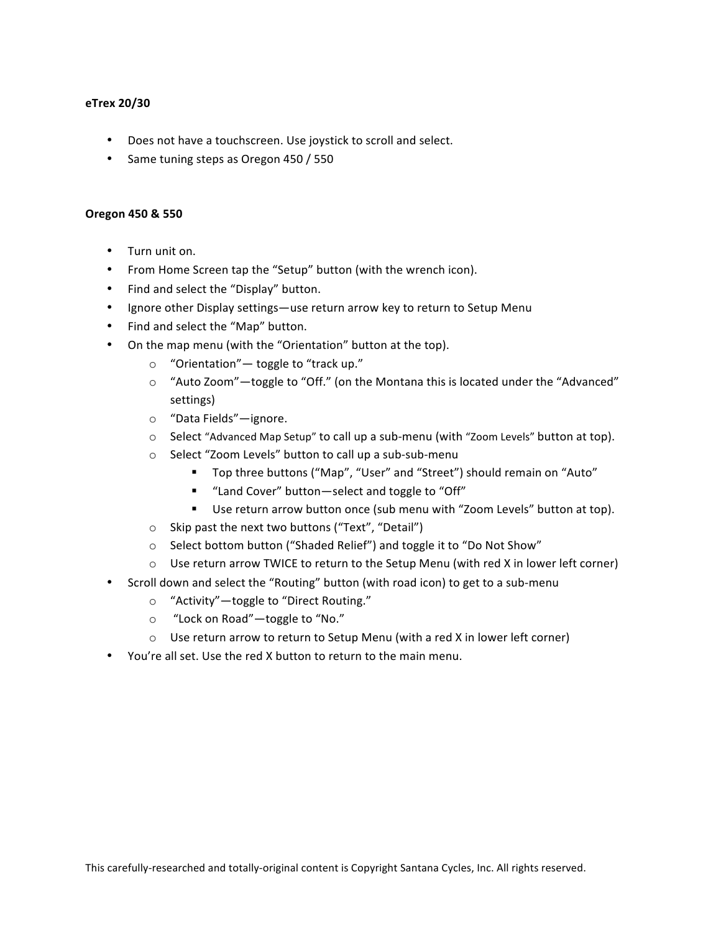#### **eTrex 20/30**

- Does not have a touchscreen. Use joystick to scroll and select.
- Same tuning steps as Oregon 450 / 550

#### **Oregon 450 & 550**

- Turn unit on.
- From Home Screen tap the "Setup" button (with the wrench icon).
- Find and select the "Display" button.
- Ignore other Display settings—use return arrow key to return to Setup Menu
- Find and select the "Map" button.
- On the map menu (with the "Orientation" button at the top).
	- $\circ$  "Orientation" toggle to "track up."
	- $\circ$  "Auto Zoom"—toggle to "Off." (on the Montana this is located under the "Advanced" settings)
	- o "Data Fields"—ignore.
	- $\circ$  Select "Advanced Map Setup" to call up a sub-menu (with "Zoom Levels" button at top).
	- o Select "Zoom Levels" button to call up a sub-sub-menu
		- " Top three buttons ("Map", "User" and "Street") should remain on "Auto"
		- "Land Cover" button—select and toggle to "Off"
		- " Use return arrow button once (sub menu with "Zoom Levels" button at top).
	- $\circ$  Skip past the next two buttons ("Text", "Detail")
	- o Select bottom button ("Shaded Relief") and toggle it to "Do Not Show"
	- $\circ$  Use return arrow TWICE to return to the Setup Menu (with red X in lower left corner)
- Scroll down and select the "Routing" button (with road icon) to get to a sub-menu
	- o "Activity"-toggle to "Direct Routing."
	- o "Lock on Road"-toggle to "No."
	- $\circ$  Use return arrow to return to Setup Menu (with a red X in lower left corner)
- You're all set. Use the red X button to return to the main menu.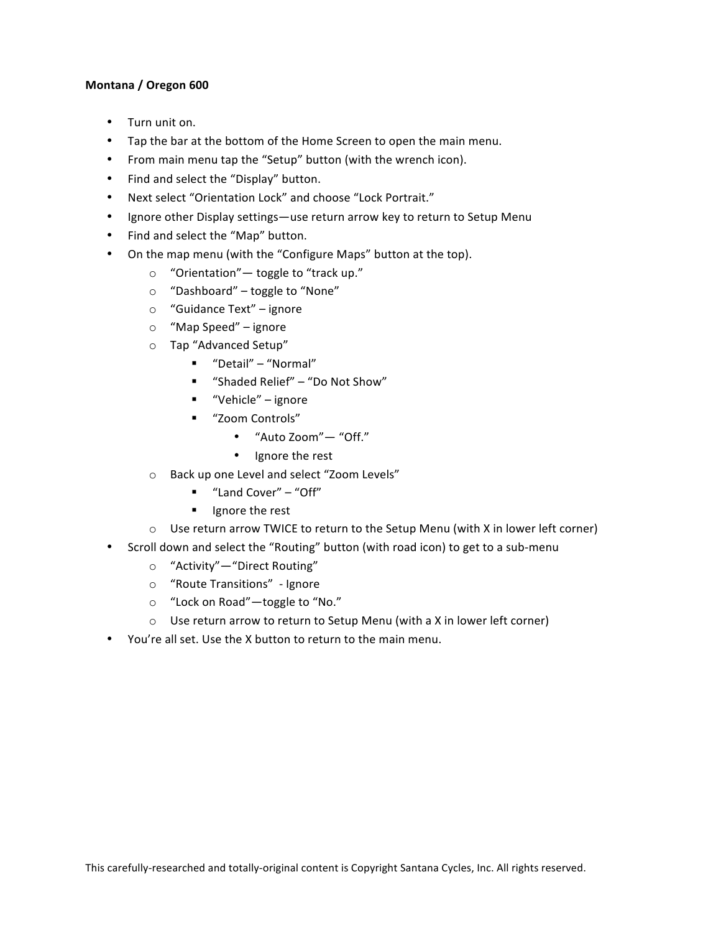#### **Montana / Oregon 600**

- Turn unit on.
- Tap the bar at the bottom of the Home Screen to open the main menu.
- From main menu tap the "Setup" button (with the wrench icon).
- Find and select the "Display" button.
- Next select "Orientation Lock" and choose "Lock Portrait."
- Ignore other Display settings—use return arrow key to return to Setup Menu
- Find and select the "Map" button.
- On the map menu (with the "Configure Maps" button at the top).
	- $\circ$  "Orientation" toggle to "track up."
	- $\circ$  "Dashboard" toggle to "None"
	- $\circ$  "Guidance Text" ignore
	- o "Map Speed" ignore
	- o Tap "Advanced Setup"
		- "Detail" "Normal"
		- "Shaded Relief" "Do Not Show"
		- "Vehicle" ignore
		- ! "Zoom Controls"
			- "Auto Zoom"— "Off."
			- Ignore the rest
	- o Back up one Level and select "Zoom Levels"
		- "Land Cover" "Off"
		- **If** Ignore the rest
	- $\circ$  Use return arrow TWICE to return to the Setup Menu (with X in lower left corner)
- Scroll down and select the "Routing" button (with road icon) to get to a sub-menu
	- o "Activity"—"Direct Routing"
	- o "Route Transitions" Ignore
	- o "Lock on Road"-toggle to "No."
	- $\circ$  Use return arrow to return to Setup Menu (with a X in lower left corner)
- You're all set. Use the X button to return to the main menu.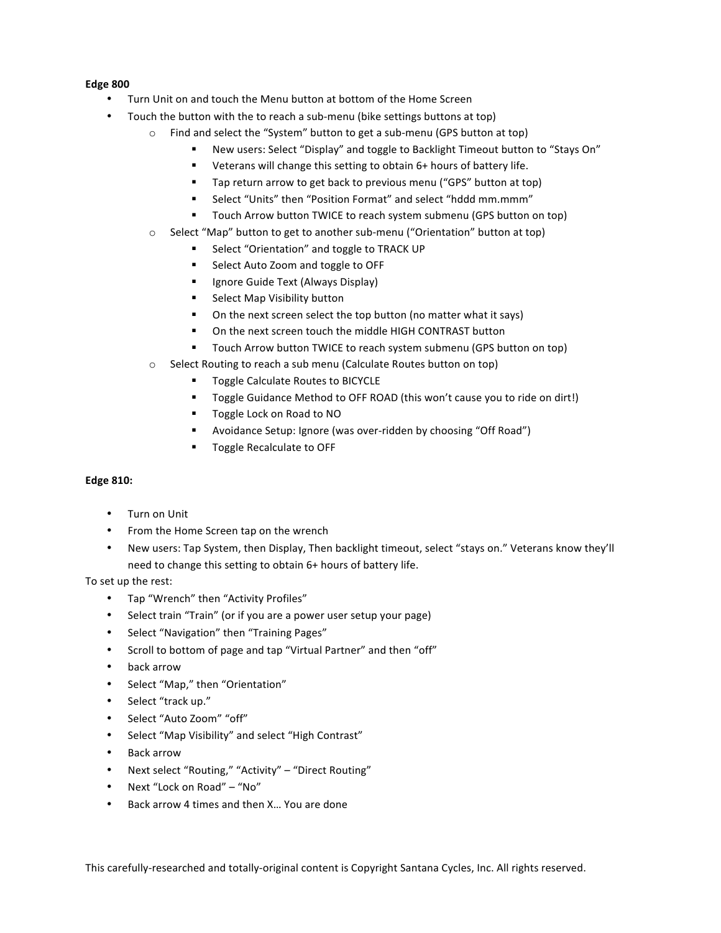#### **Edge 800**

- Turn Unit on and touch the Menu button at bottom of the Home Screen
- Touch the button with the to reach a sub-menu (bike settings buttons at top)
	- $\circ$  Find and select the "System" button to get a sub-menu (GPS button at top)
		- New users: Select "Display" and toggle to Backlight Timeout button to "Stays On"
		- " Veterans will change this setting to obtain 6+ hours of battery life.
		- " Tap return arrow to get back to previous menu ("GPS" button at top)
		- Select "Units" then "Position Format" and select "hddd mm.mmm"
		- Touch Arrow button TWICE to reach system submenu (GPS button on top)
	- o Select "Map" button to get to another sub-menu ("Orientation" button at top)
		- Select "Orientation" and toggle to TRACK UP
		- **EXECO SHEET AUTO ZOOM and toggle to OFF**
		- **E** Ignore Guide Text (Always Display)
		- **EXECUTE:** Select Map Visibility button
		- On the next screen select the top button (no matter what it says)
		- On the next screen touch the middle HIGH CONTRAST button
		- " Touch Arrow button TWICE to reach system submenu (GPS button on top)
	- $\circ$  Select Routing to reach a sub menu (Calculate Routes button on top)
		- **Toggle Calculate Routes to BICYCLE**
		- " Toggle Guidance Method to OFF ROAD (this won't cause you to ride on dirt!)
		- Toggle Lock on Road to NO
		- **E** Avoidance Setup: Ignore (was over-ridden by choosing "Off Road")
		- **Toggle Recalculate to OFF**

#### **Edge 810:**

- Turn on Unit
- From the Home Screen tap on the wrench
- New users: Tap System, then Display, Then backlight timeout, select "stays on." Veterans know they'll need to change this setting to obtain 6+ hours of battery life.

To set up the rest:

- Tap "Wrench" then "Activity Profiles"
- Select train "Train" (or if you are a power user setup your page)
- Select "Navigation" then "Training Pages"
- Scroll to bottom of page and tap "Virtual Partner" and then "off"
- back arrow
- Select "Map," then "Orientation"
- Select "track up."
- Select "Auto Zoom" "off"
- Select "Map Visibility" and select "High Contrast"
- **Back arrow**
- Next select "Routing," "Activity" "Direct Routing"
- Next "Lock on Road" "No"
- Back arrow 4 times and then X... You are done